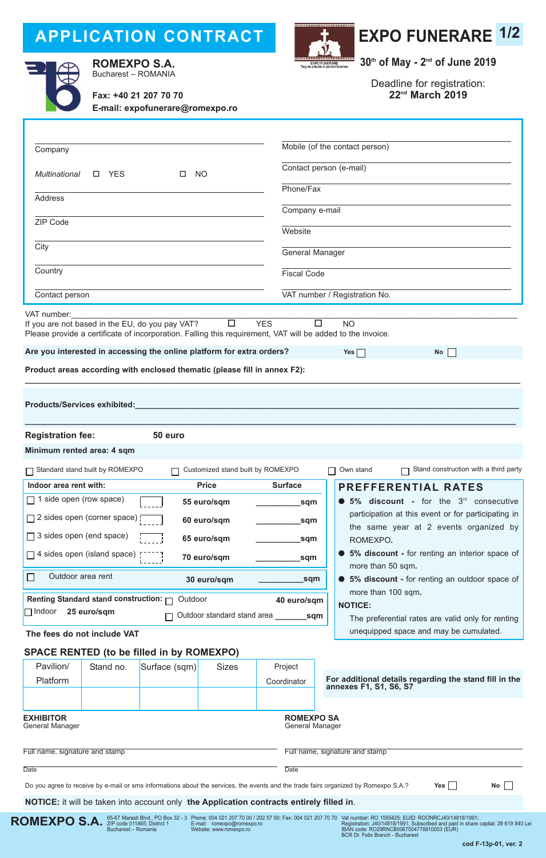# **APPLICATION CONTRACT**



**ROMEXPO S.A.** *S*5-67 Marasti Blvd., PO Box 32 - 3<br>Bucharest – Romania

**ROMEXPO S.A.** Bucharest – ROmANIA





**30th of May - 2nd of June 2019**

Deadline for registration: **22nd March 2019**

| Fax: +40 21 207 70 70<br>E-mail: expofunerare@romexpo.ro |
|----------------------------------------------------------|
|                                                          |

| Company                                                                                                                                                                                                                                                         | Mobile (of the contact person)                                                                        |  |  |
|-----------------------------------------------------------------------------------------------------------------------------------------------------------------------------------------------------------------------------------------------------------------|-------------------------------------------------------------------------------------------------------|--|--|
| Multinational<br>$\square$ YES<br><b>NO</b>                                                                                                                                                                                                                     | Contact person (e-mail)                                                                               |  |  |
| <b>Address</b>                                                                                                                                                                                                                                                  | Phone/Fax                                                                                             |  |  |
|                                                                                                                                                                                                                                                                 | Company e-mail                                                                                        |  |  |
| <b>ZIP Code</b>                                                                                                                                                                                                                                                 | Website                                                                                               |  |  |
| City                                                                                                                                                                                                                                                            | General Manager                                                                                       |  |  |
| Country                                                                                                                                                                                                                                                         | <b>Fiscal Code</b>                                                                                    |  |  |
| Contact person                                                                                                                                                                                                                                                  | VAT number / Registration No.                                                                         |  |  |
|                                                                                                                                                                                                                                                                 |                                                                                                       |  |  |
| VAT number:<br>$\Box$<br>If you are not based in the EU, do you pay VAT?<br>Please provide a certificate of incorporation. Falling this requirement, VAT will be added to the invoice.<br>Are you interested in accessing the online platform for extra orders? | <b>YES</b><br>$\Box$<br><b>NO</b><br>Yes $\Box$<br>No                                                 |  |  |
| Product areas according with enclosed thematic (please fill in annex F2):                                                                                                                                                                                       |                                                                                                       |  |  |
| Products/Services exhibited:<br><b>Registration fee:</b><br>50 euro                                                                                                                                                                                             |                                                                                                       |  |  |
| Minimum rented area: 4 sqm                                                                                                                                                                                                                                      |                                                                                                       |  |  |
|                                                                                                                                                                                                                                                                 |                                                                                                       |  |  |
| Standard stand built by ROMEXPO<br>Customized stand built by ROMEXPO                                                                                                                                                                                            | Stand construction with a third party<br>$\Box$ Own stand                                             |  |  |
| Indoor area rent with:<br><b>Price</b>                                                                                                                                                                                                                          | <b>Surface</b><br><b>PREFFERENTIAL RATES</b>                                                          |  |  |
| 1 side open (row space)<br>55 euro/sqm                                                                                                                                                                                                                          | 5% discount - for the $3rd$ consecutive<br>sqm<br>participation at this event or for participating in |  |  |
| □ 2 sides open (corner space) □<br>60 euro/sqm                                                                                                                                                                                                                  | _sqm<br>the same year at 2 events organized by                                                        |  |  |
| □ 3 sides open (end space)<br>65 euro/sqm<br>_sqm<br>ROMEXPO.                                                                                                                                                                                                   |                                                                                                       |  |  |
| 5% discount - for renting an interior space of<br>$\Box$ 4 sides open (island space)<br>70 euro/sqm<br>sqm<br>more than 50 sqm.                                                                                                                                 |                                                                                                       |  |  |
| Outdoor area rent<br>30 euro/sqm                                                                                                                                                                                                                                | sqm<br>• 5% discount - for renting an outdoor space of                                                |  |  |
| Renting Standard stand construction: $\Box$<br>Outdoor                                                                                                                                                                                                          | more than 100 sqm.<br>40 euro/sqm<br><b>NOTICE:</b>                                                   |  |  |
| $\Box$ Indoor<br>25 euro/sqm<br>Outdoor standard stand area sqm<br>П                                                                                                                                                                                            | The preferential rates are valid only for renting                                                     |  |  |
| The fees do not include VAT                                                                                                                                                                                                                                     | unequipped space and may be cumulated.                                                                |  |  |
| <b>SPACE RENTED (to be filled in by ROMEXPO)</b>                                                                                                                                                                                                                |                                                                                                       |  |  |
| Pavilion/<br>Stand no.<br>Surface (sqm)<br><b>Sizes</b>                                                                                                                                                                                                         | Project                                                                                               |  |  |
| Platform                                                                                                                                                                                                                                                        | For additional details regarding the stand fill in the<br>Coordinator<br>annexes F1, S1, S6, S7       |  |  |
|                                                                                                                                                                                                                                                                 |                                                                                                       |  |  |
| <b>EXHIBITOR</b><br>General Manager                                                                                                                                                                                                                             | <b>ROMEXPO SA</b><br>General Manager                                                                  |  |  |
| Full name, signature and stamp                                                                                                                                                                                                                                  | Full name, signature and stamp                                                                        |  |  |
| <b>Date</b>                                                                                                                                                                                                                                                     | <b>Date</b>                                                                                           |  |  |
| Do you agree to receive by e-mail or sms informations about the services, the events and the trade fairs organized by Romexpo S.A.?                                                                                                                             | No<br>Yes                                                                                             |  |  |
| NOTICE: it will be taken into account only the Application contracts entirely filled in.                                                                                                                                                                        |                                                                                                       |  |  |

Phone: 004 021 207 70 00 / 202 57 00: Fax: 004 021 207 70 70 E-mail: romexpo@romexpo.ro Website: www.romexpo.ro